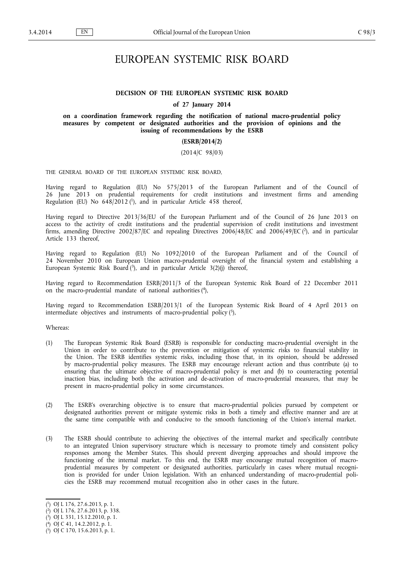# EUROPEAN SYSTEMIC RISK BOARD

# **DECISION OF THE EUROPEAN SYSTEMIC RISK BOARD**

#### **of 27 January 2014**

**on a coordination framework regarding the notification of national macro-prudential policy measures by competent or designated authorities and the provision of opinions and the issuing of recommendations by the ESRB**

#### **(ESRB/2014/2)**

# (2014/C 98/03)

THE GENERAL BOARD OF THE EUROPEAN SYSTEMIC RISK BOARD,

Having regard to Regulation (EU) No 575/2013 of the European Parliament and of the Council of 26 June 2013 on prudential requirements for credit institutions and investment firms and amending Regulation (EU) No 648/2012(1), and in particular Article 458 thereof,

Having regard to Directive 2013/36/EU of the European Parliament and of the Council of 26 June 2013 on access to the activity of credit institutions and the prudential supervision of credit institutions and investment firms, amending Directive 2002/87/EC and repealing Directives 2006/48/EC and 2006/49/EC (<sup>2</sup>), and in particular Article 133 thereof,

Having regard to Regulation (EU) No 1092/2010 of the European Parliament and of the Council of 24 November 2010 on European Union macro-prudential oversight of the financial system and establishing a European Systemic Risk Board (3), and in particular Article 3(2)(j) thereof,

Having regard to Recommendation ESRB/2011/3 of the European Systemic Risk Board of 22 December 2011 on the macro-prudential mandate of national authorities ( 4 ),

Having regard to Recommendation ESRB/2013/1 of the European Systemic Risk Board of 4 April 2013 on intermediate objectives and instruments of macro-prudential policy (5),

Whereas:

- (1) The European Systemic Risk Board (ESRB) is responsible for conducting macro-prudential oversight in the Union in order to contribute to the prevention or mitigation of systemic risks to financial stability in the Union. The ESRB identifies systemic risks, including those that, in its opinion, should be addressed by macro-prudential policy measures. The ESRB may encourage relevant action and thus contribute (a) to ensuring that the ultimate objective of macro-prudential policy is met and (b) to counteracting potential inaction bias, including both the activation and de-activation of macro-prudential measures, that may be present in macro-prudential policy in some circumstances.
- (2) The ESRB's overarching objective is to ensure that macro-prudential policies pursued by competent or designated authorities prevent or mitigate systemic risks in both a timely and effective manner and are at the same time compatible with and conducive to the smooth functioning of the Union's internal market.
- (3) The ESRB should contribute to achieving the objectives of the internal market and specifically contribute to an integrated Union supervisory structure which is necessary to promote timely and consistent policy responses among the Member States. This should prevent diverging approaches and should improve the functioning of the internal market. To this end, the ESRB may encourage mutual recognition of macroprudential measures by competent or designated authorities, particularly in cases where mutual recognition is provided for under Union legislation. With an enhanced understanding of macro-prudential policies the ESRB may recommend mutual recognition also in other cases in the future.

<sup>(</sup> 1 ) OJ L 176, 27.6.2013, p. 1.

<sup>(</sup> 2 ) OJ L 176, 27.6.2013, p. 338.

<sup>(</sup> 3 ) OJ L 331, 15.12.2010, p. 1.

<sup>(</sup> 4 ) OJ C 41, 14.2.2012, p. 1.

<sup>(</sup> 5 ) OJ C 170, 15.6.2013, p. 1.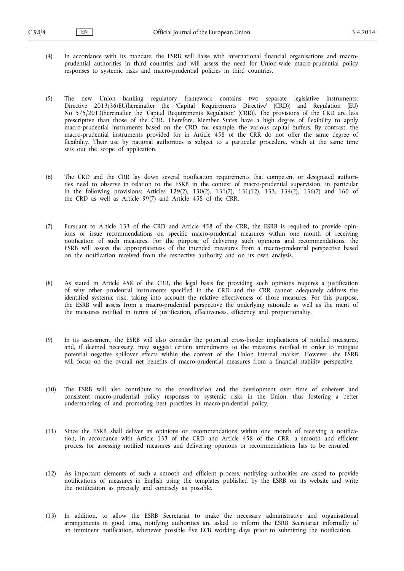- (4) In accordance with its mandate, the ESRB will liaise with international financial organisations and macroprudential authorities in third countries and will assess the need for Union-wide macro-prudential policy responses to systemic risks and macro-prudential policies in third countries.
- (5) The new Union banking regulatory framework contains two separate legislative instruments: Directive 2013/36/EU(hereinafter the 'Capital Requirements Directive' (CRD)) and Regulation (EU) No 575/2013(hereinafter the 'Capital Requirements Regulation' (CRR)). The provisions of the CRD are less prescriptive than those of the CRR. Therefore, Member States have a high degree of flexibility to apply macro-prudential instruments based on the CRD, for example, the various capital buffers. By contrast, the macro-prudential instruments provided for in Article 458 of the CRR do not offer the same degree of flexibility. Their use by national authorities is subject to a particular procedure, which at the same time sets out the scope of application.
- (6) The CRD and the CRR lay down several notification requirements that competent or designated authori ties need to observe in relation to the ESRB in the context of macro-prudential supervision, in particular in the following provisions: Articles 129(2), 130(2), 131(7), 131(12), 133, 134(2), 136(7) and 160 of the CRD as well as Article 99(7) and Article 458 of the CRR.
- (7) Pursuant to Article 133 of the CRD and Article 458 of the CRR, the ESRB is required to provide opin ions or issue recommendations on specific macro-prudential measures within one month of receiving notification of such measures. For the purpose of delivering such opinions and recommendations, the ESRB will assess the appropriateness of the intended measures from a macro-prudential perspective based on the notification received from the respective authority and on its own analysis.
- (8) As stated in Article 458 of the CRR, the legal basis for providing such opinions requires a justification of why other prudential instruments specified in the CRD and the CRR cannot adequately address the identified systemic risk, taking into account the relative effectiveness of those measures. For this purpose, the ESRB will assess from a macro-prudential perspective the underlying rationale as well as the merit of the measures notified in terms of justification, effectiveness, efficiency and proportionality.
- (9) In its assessment, the ESRB will also consider the potential cross-border implications of notified measures, and, if deemed necessary, may suggest certain amendments to the measures notified in order to mitigate potential negative spillover effects within the context of the Union internal market. However, the ESRB will focus on the overall net benefits of macro-prudential measures from a financial stability perspective.
- (10) The ESRB will also contribute to the coordination and the development over time of coherent and consistent macro-prudential policy responses to systemic risks in the Union, thus fostering a better understanding of and promoting best practices in macro-prudential policy.
- (11) Since the ESRB shall deliver its opinions or recommendations within one month of receiving a notifica tion, in accordance with Article 133 of the CRD and Article 458 of the CRR, a smooth and efficient process for assessing notified measures and delivering opinions or recommendations has to be ensured.
- (12) As important elements of such a smooth and efficient process, notifying authorities are asked to provide notifications of measures in English using the templates published by the ESRB on its website and write the notification as precisely and concisely as possible.
- (13) In addition, to allow the ESRB Secretariat to make the necessary administrative and organisational arrangements in good time, notifying authorities are asked to inform the ESRB Secretariat informally of an imminent notification, whenever possible five ECB working days prior to submitting the notification.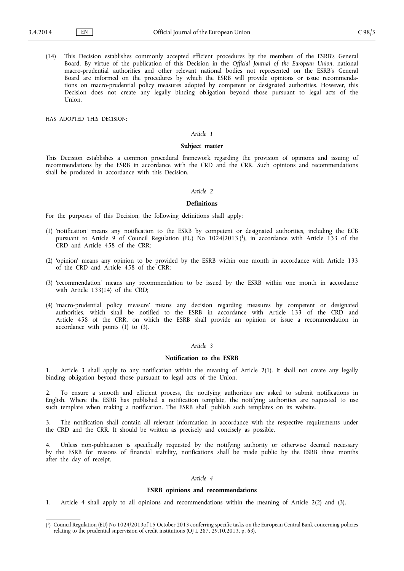(14) This Decision establishes commonly accepted efficient procedures by the members of the ESRB's General Board. By virtue of the publication of this Decision in the *Official Journal of the European Union*, national macro-prudential authorities and other relevant national bodies not represented on the ESRB's General Board are informed on the procedures by which the ESRB will provide opinions or issue recommenda tions on macro-prudential policy measures adopted by competent or designated authorities. However, this Decision does not create any legally binding obligation beyond those pursuant to legal acts of the Union,

HAS ADOPTED THIS DECISION:

### *Article 1*

## **Subject matter**

This Decision establishes a common procedural framework regarding the provision of opinions and issuing of recommendations by the ESRB in accordance with the CRD and the CRR. Such opinions and recommendations shall be produced in accordance with this Decision.

## *Article 2*

## **Definitions**

For the purposes of this Decision, the following definitions shall apply:

- (1) 'notification' means any notification to the ESRB by competent or designated authorities, including the ECB pursuant to Article 9 of Council Regulation (EU) No 1024/2013 (<sup>1</sup>), in accordance with Article 133 of the CRD and Article 458 of the CRR;
- (2) 'opinion' means any opinion to be provided by the ESRB within one month in accordance with Article 133 of the CRD and Article 458 of the CRR;
- (3) 'recommendation' means any recommendation to be issued by the ESRB within one month in accordance with Article 133(14) of the CRD;
- (4) 'macro-prudential policy measure' means any decision regarding measures by competent or designated authorities, which shall be notified to the ESRB in accordance with Article 133 of the CRD and Article 458 of the CRR, on which the ESRB shall provide an opinion or issue a recommendation in accordance with points (1) to (3).

## *Article 3*

#### **Notification to the ESRB**

1. Article 3 shall apply to any notification within the meaning of Article 2(1). It shall not create any legally binding obligation beyond those pursuant to legal acts of the Union.

2. To ensure a smooth and efficient process, the notifying authorities are asked to submit notifications in English. Where the ESRB has published a notification template, the notifying authorities are requested to use such template when making a notification. The ESRB shall publish such templates on its website.

3. The notification shall contain all relevant information in accordance with the respective requirements under the CRD and the CRR. It should be written as precisely and concisely as possible.

Unless non-publication is specifically requested by the notifying authority or otherwise deemed necessary by the ESRB for reasons of financial stability, notifications shall be made public by the ESRB three months after the day of receipt.

# *Article 4*

#### **ESRB opinions and recommendations**

1. Article 4 shall apply to all opinions and recommendations within the meaning of Article 2(2) and (3).

<sup>(</sup> 1 ) Council Regulation (EU) No 1024/2013of 15 October 2013 conferring specific tasks on the European Central Bank concerning policies relating to the prudential supervision of credit institutions (OJ L 287, 29.10.2013, p. 63).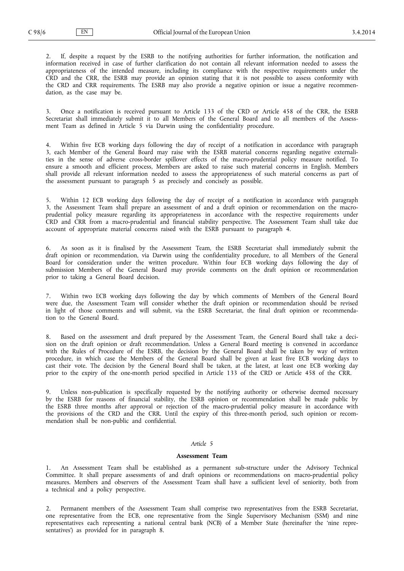2. If, despite a request by the ESRB to the notifying authorities for further information, the notification and information received in case of further clarification do not contain all relevant information needed to assess the appropriateness of the intended measure, including its compliance with the respective requirements under the CRD and the CRR, the ESRB may provide an opinion stating that it is not possible to assess conformity with the CRD and CRR requirements. The ESRB may also provide a negative opinion or issue a negative recommen dation, as the case may be.

3. Once a notification is received pursuant to Article 133 of the CRD or Article 458 of the CRR, the ESRB Secretariat shall immediately submit it to all Members of the General Board and to all members of the Assessment Team as defined in Article 5 via Darwin using the confidentiality procedure.

4. Within five ECB working days following the day of receipt of a notification in accordance with paragraph 3, each Member of the General Board may raise with the ESRB material concerns regarding negative externalities in the sense of adverse cross-border spillover effects of the macro-prudential policy measure notified. To ensure a smooth and efficient process, Members are asked to raise such material concerns in English. Members shall provide all relevant information needed to assess the appropriateness of such material concerns as part of the assessment pursuant to paragraph 5 as precisely and concisely as possible.

5. Within 12 ECB working days following the day of receipt of a notification in accordance with paragraph 3, the Assessment Team shall prepare an assessment of and a draft opinion or recommendation on the macroprudential policy measure regarding its appropriateness in accordance with the respective requirements under CRD and CRR from a macro-prudential and financial stability perspective. The Assessment Team shall take due account of appropriate material concerns raised with the ESRB pursuant to paragraph 4.

6. As soon as it is finalised by the Assessment Team, the ESRB Secretariat shall immediately submit the draft opinion or recommendation, via Darwin using the confidentiality procedure, to all Members of the General Board for consideration under the written procedure. Within four ECB working days following the day of submission Members of the General Board may provide comments on the draft opinion or recommendation prior to taking a General Board decision.

Within two ECB working days following the day by which comments of Members of the General Board were due, the Assessment Team will consider whether the draft opinion or recommendation should be revised in light of those comments and will submit, via the ESRB Secretariat, the final draft opinion or recommenda tion to the General Board.

8. Based on the assessment and draft prepared by the Assessment Team, the General Board shall take a deci sion on the draft opinion or draft recommendation. Unless a General Board meeting is convened in accordance with the Rules of Procedure of the ESRB, the decision by the General Board shall be taken by way of written procedure, in which case the Members of the General Board shall be given at least five ECB working days to cast their vote. The decision by the General Board shall be taken, at the latest, at least one ECB working day prior to the expiry of the one-month period specified in Article 133 of the CRD or Article 458 of the CRR.

9. Unless non-publication is specifically requested by the notifying authority or otherwise deemed necessary by the ESRB for reasons of financial stability, the ESRB opinion or recommendation shall be made public by the ESRB three months after approval or rejection of the macro-prudential policy measure in accordance with the provisions of the CRD and the CRR. Until the expiry of this three-month period, such opinion or recommendation shall be non-public and confidential.

# *Article 5*

#### **Assessment Team**

1. An Assessment Team shall be established as a permanent sub-structure under the Advisory Technical Committee. It shall prepare assessments of and draft opinions or recommendations on macro-prudential policy measures. Members and observers of the Assessment Team shall have a sufficient level of seniority, both from a technical and a policy perspective.

2. Permanent members of the Assessment Team shall comprise two representatives from the ESRB Secretariat, one representative from the ECB, one representative from the Single Supervisory Mechanism (SSM) and nine representatives each representing a national central bank (NCB) of a Member State (hereinafter the 'nine repre sentatives') as provided for in paragraph 8.